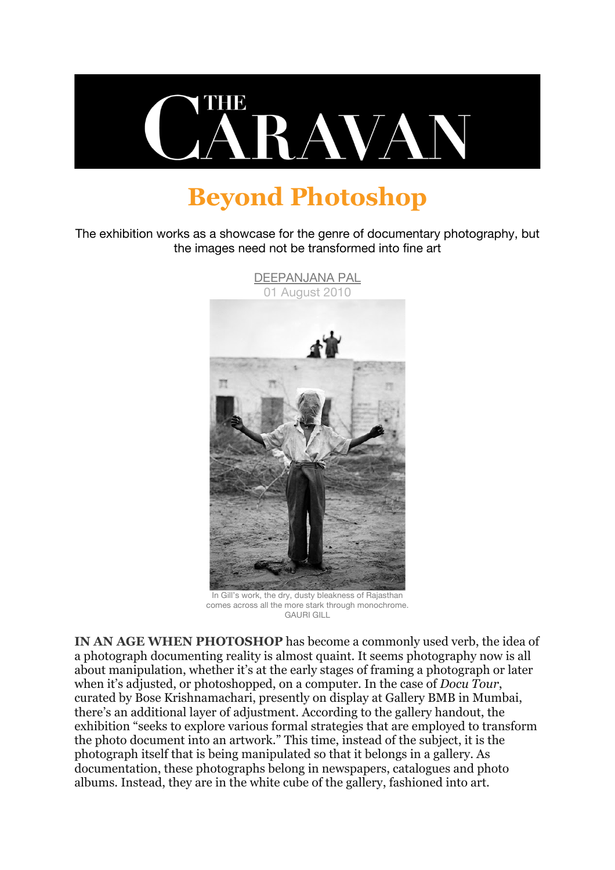

## **Beyond Photoshop**

The exhibition works as a showcase for the genre of documentary photography, but the images need not be transformed into fine art



In Gill's work, the dry, dusty bleakness of Rajasthan comes across all the more stark through monochrome. GAURI GILL

**IN AN AGE WHEN PHOTOSHOP** has become a commonly used verb, the idea of a photograph documenting reality is almost quaint. It seems photography now is all about manipulation, whether it's at the early stages of framing a photograph or later when it's adjusted, or photoshopped, on a computer. In the case of *Docu Tour*, curated by Bose Krishnamachari, presently on display at Gallery BMB in Mumbai, there's an additional layer of adjustment. According to the gallery handout, the exhibition "seeks to explore various formal strategies that are employed to transform the photo document into an artwork." This time, instead of the subject, it is the photograph itself that is being manipulated so that it belongs in a gallery. As documentation, these photographs belong in newspapers, catalogues and photo albums. Instead, they are in the white cube of the gallery, fashioned into art.